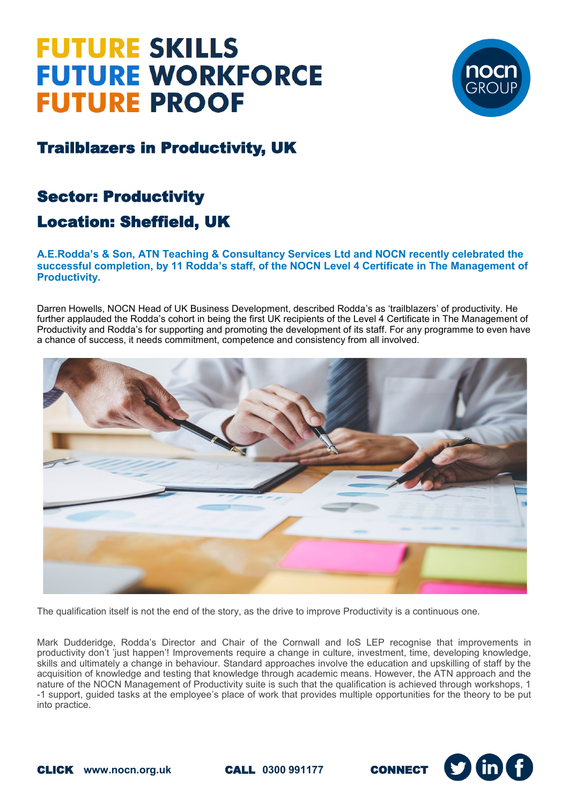## **FUTURE SKILLS FUTURE WORKFORCE FUTURE PROOF**



### Trailblazers in Productivity, UK

### Sector: Productivity Location: Sheffield, UK

#### **A.E.Rodda's & Son, ATN Teaching & Consultancy Services Ltd and NOCN recently celebrated the successful completion, by 11 Rodda's staff, of the NOCN Level 4 Certificate in The Management of Productivity.**

Darren Howells, NOCN Head of UK Business Development, described Rodda's as 'trailblazers' of productivity. He further applauded the Rodda's cohort in being the first UK recipients of the Level 4 Certificate in The Management of Productivity and Rodda's for supporting and promoting the development of its staff. For any programme to even have a chance of success, it needs commitment, competence and consistency from all involved.



The qualification itself is not the end of the story, as the drive to improve Productivity is a continuous one.

Mark Dudderidge, Rodda's Director and Chair of the Cornwall and IoS LEP recognise that improvements in productivity don't 'just happen'! Improvements require a change in culture, investment, time, developing knowledge, skills and ultimately a change in behaviour. Standard approaches involve the education and upskilling of staff by the acquisition of knowledge and testing that knowledge through academic means. However, the ATN approach and the nature of the NOCN Management of Productivity suite is such that the qualification is achieved through workshops, 1 -1 support, guided tasks at the employee's place of work that provides multiple opportunities for the theory to be put into practice.